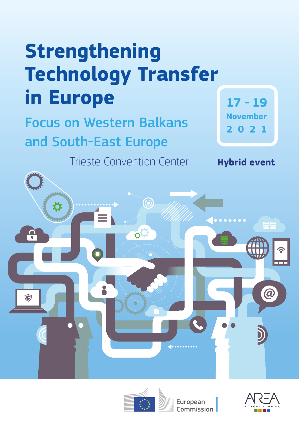# **Strengthening Technology Transfer in Europe**

Focus on Western Balkans and South-East Europe

Trieste Convention Center **Hybrid event**

**17 - 19 November 2021**





**European** Commission

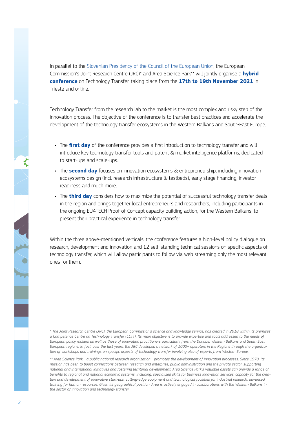In parallel to the Slovenian Presidency of the Council of the European Union, the European Commission's Joint Research Centre (JRC)\* and Area Science Park\*\* will jointly organise a **hybrid conference** on Technology Transfer, taking place from the **17th to 19th November 2021** in Trieste and online.

Technology Transfer from the research lab to the market is the most complex and risky step of the innovation process. The objective of the conference is to transfer best practices and accelerate the development of the technology transfer ecosystems in the Western Balkans and South-East Europe.

- The **first day** of the conference provides a first introduction to technology transfer and will introduce key technology transfer tools and patent & market intelligence platforms, dedicated to start-ups and scale-ups.
- The **second day** focuses on innovation ecosystems & entrepreneurship, including innovation ecosystems design (incl. research infrastructure & testbeds), early stage financing, investor readiness and much more.
- The **third day** considers how to maximize the potential of successful technology transfer deals in the region and brings together local entrepreneurs and researchers, including participants in the ongoing EU4TECH Proof of Concept capacity building action, for the Western Balkans, to present their practical experience in technology transfer.

Within the three above-mentioned verticals, the conference features a high-level policy dialogue on research, development and innovation and 12 self-standing technical sessions on specific aspects of technology transfer, which will allow participants to follow via web streaming only the most relevant ones for them.

*\* The Joint Research Centre (JRC), the European Commission's science and knowledge service, has created in 2018 within its premises a Competence Centre on Technology Transfer (CCTT). Its main objective is to provide expertise and tools addressed to the needs of European policy makers as well as those of innovation practitioners particularly from the Danube, Western Balkans and South East European regions. In fact, over the last years, the JRC developed a network of 1000+ operators in the Regions through the organization of workshops and trainings on specific aspects of technology transfer involving also of experts from Western Europe.*

*\*\* Area Science Park - a public national research organization - promotes the development of innovation processes. Since 1978, its mission has been to boost connections between research and enterprise, public administration and the private sector, supporting national and international initiatives and fostering territorial development. Area Science Park's valuable assets can provide a range of benefits to regional and national economic systems, including: specialized skills for business innovation services, capacity for the creation and development of innovative start-ups, cutting-edge equipment and technological facilities for industrial research, advanced*  training for human resources. Given its geographical position, Area is actively engaged in collaborations with the Western Balkans in *the sector of innovation and technology transfer.*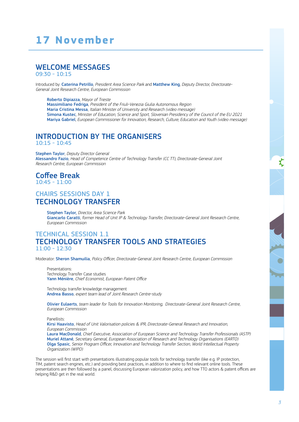# **17 November**

# WELCOME MESSAGES

09:30 - 10:15

Introduced by: Caterina Petrillo, President Area Science Park and Matthew King, Deputy Director, Directorate-General Joint Research Centre, European Commission

Roberto Dipiazza, Mayor of Trieste Massimiliano Fedriga, President of the Friuli-Venezia Giulia Autonomous Region Maria Cristina Messa, Italian Minister of University and Research (video message) Simona Kustec, Minister of Education, Science and Sport, Slovenian Presidency of the Council of the EU 2021 Mariya Gabriel, European Commissioner for Innovation, Research, Culture, Education and Youth (video message)

#### INTRODUCTION BY THE ORGANISERS 10:15 - 10:45

Stephen Taylor, Deputy Director General Alessandro Fazio, Head of Competence Centre of Technology Transfer (CC TT), Directorate-General Joint Research Centre, European Commission

#### Coffee Break  $10.45 - 11.00$

## CHAIRS SESSIONS DAY 1 TECHNOLOGY TRANSFER

Stephen Taylor, Director, Area Science Park Giancarlo Caratti, former Head of Unit IP & Technology Transfer, Directorate-General Joint Research Centre, European Commission

## TECHNICAL SESSION 1.1 TECHNOLOGY TRANSFER TOOLS AND STRATEGIES 11:00 - 12:30

Moderator: Sheron Shamuilia, Policy Officer, Directorate-General Joint Research Centre, European Commission

Presentations: Technology Transfer Case studies Yann Ménière, Chief Economist, European Patent Office

Technology transfer knowledge management Andrea Basso, expert team lead of Joint Research Centre-study

Olivier Eulaerts, team leader for Tools for Innovation Monitoring, Directorate-General Joint Research Centre, European Commission

Panellists:

Kirsi Haavisto, Head of Unit Valorisation policies & IPR, Directorate-General Research and Innovation, European Commission

Laura MacDonald, Chief Executive, Association of European Science and Technology Transfer Professionals (ASTP) Muriel Attané, Secretary General, European Association of Research and Technology Organisations (EARTO) Olga Spasic, Senior Program Officer, Innovation and Technology Transfer Section, World Intellectual Property Organization (WIPO)

The session will first start with presentations illustrating popular tools for technology transfer (like e.g. IP protection, TIM, patent search engines, etc.) and providing best practices, in addition to where to find relevant online tools. These presentations are then followed by a panel, discussing European valorization policy, and how TTO actors & patent offices are helping R&D get in the real world.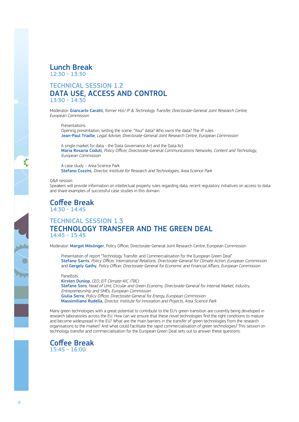

#### TECHNICAL SESSION 1.2 DATA USE, ACCESS AND CONTROL 13:30 - 14:30

Moderator: Giancarlo Caratti, former HoU IP & Technology Transfer, Directorate-General Joint Research Centre, European Commission

Presentations:

Opening presentation, setting the scene: "Your" data? Who owns the data? The IP rules Jean-Paul Triaille, Legal Adviser, Directorate-General Joint Research Centre, European Commission

A single market for data - the Data Governance Act and the Data Act Maria Rosaria Coduti, Policy Officer, Directorate-General Communications Networks, Content and Technology, European Commission

A case study – Area Science Park Stefano Cozzini, Director, Institute for Research and Technologies, Area Science Park

#### Q&A session

Speakers will provide information on intellectual property rules regarding data, recent regulatory initiatives on access to data and share examples of successful case studies in this domain.

#### Coffee Break  $14.30 - 14.45$

## TECHNICAL SESSION 1.3 TECHNOLOGY TRANSFER AND THE GREEN DEAL 14:45 - 15:45

Moderator: Margot Möslinger, Policy Officer, Directorate-General Joint Research Centre, European Commission

Presentation of report "Technology Transfer and Commercialisation for the European Green Deal" Stefano Sarris, Policy Officer, International Relations, Directorate-General for Climate Action, European Commission and Gergely Gathy, Policy Officer, Directorate-General for Economic and Financial Affairs, European Commission

Panellists: Kirsten Dunlop, CEO, EIT Climate-KIC (TBC) Stefano Soro, Head of Unit, Circular and Green Economy, Directorate-General for Internal Market, Industry, Entrepreneurship and SMEs, European Commission Giulia Serra, Policy Officer, Directorate-General for Energy, European Commission Massimiliano Rudella, Director, Institute for Innovation and Projects, Area Science Park

Many green technologies with a great potential to contribute to the EU's green transition are currently being developed in research laboratories across the EU. How can we ensure that these novel technologies find the right conditions to mature and become widespread in the EU? What are the main barriers in the transfer of green technologies from the research organisations to the market? And what could facilitate the rapid commercialisation of green technologies? This session on technology transfer and commercialisation for the European Green Deal sets out to answer these questions.

#### Coffee Break  $15:45 - 16:00$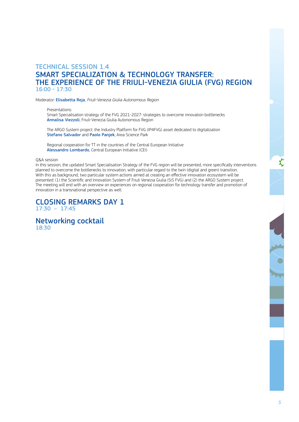## TECHNICAL SESSION 1.4 SMART SPECIALIZATION & TECHNOLOGY TRANSFER: THE EXPERIENCE OF THE FRIULI-VENEZIA GIULIA (FVG) REGION 16:00 - 17:30

Moderator: Elisabetta Reja, Friuli-Venezia Giulia Autonomous Region

Presentations:

Smart Specialisation strategy of the FVG 2021-2027: strategies to overcome innovation bottlenecks Annalisa Viezzoli, Friuli-Venezia Giulia Autonomous Region

The ARGO System project: the Industry Platform for FVG (IP4FVG) asset dedicated to digitalization Stefano Salvador and Paolo Panjek, Area Science Park

Regional cooperation for TT in the countries of the Central European Initiative Alessandro Lombardo, Central European Initiative (CEI)

#### Q&A session

In this session, the updated Smart Specialisation Strategy of the FVG region will be presented, more specifically interventions planned to overcome the bottlenecks to innovation, with particular regard to the twin (digital and green) transition. With this as background, two particular system actions aimed at creating an effective innovation ecosystem will be presented: (1) the Scientific and Innovation System of Friuli Venezia Giulia (SiS FVG) and (2) the ARGO System project. The meeting will end with an overview on experiences on regional cooperation for technology transfer and promotion of innovation in a transnational perspective as well.

#### CLOSING REMARKS DAY 1 17:30 – 17:45

Networking cocktail 18:30

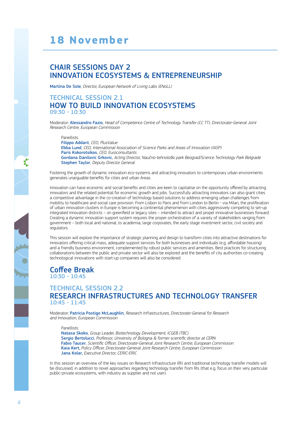# **18 November**

# CHAIR SESSIONS DAY 2 INNOVATION ECOSYSTEMS & ENTREPRENEURSHIP

Martina De Sole, Director, European Network of Living Labs (ENoLL)

#### TECHNICAL SESSION 2.1 HOW TO BUILD INNOVATION ECOSYSTEMS 09:30 - 10:30

Moderator: Alessandro Fazio, Head of Competence Centre of Technology Transfer (CC TT), Directorate-General Joint Research Centre, European Commission

Panellists:

Filippo Addarii, CEO, PlusValue Ebba Lund, CEO, International Association of Science Parks and Areas of Innovation (IASP) Paris Kokorotsikos, CEO, Euroconsultants Gordana Danilovic Grkovic, Acting Director, Naučno-tehnološki park Beograd/Science Technology Park Belgrade **Stephen Taylor, Deputy Director General** 

Fostering the growth of dynamic innovation eco-systems and attracting innovators to contemporary urban environments generates unarguable benefits for cities and urban Areas.

Innovation can have economic and social benefits and cities are keen to capitalise on the opportunity offered by attracting innovators and the related potential for economic growth and jobs. Successfully attracting innovators can also grant cities a competitive advantage in the co-creation of technology based solutions to address emerging urban challenges from mobility to healthcare and social care provision. From Lisbon to Paris and from London to Berlin - via Milan, the proliferation of urban innovation clusters in Europe is becoming a continental phenomenon with cities aggressively competing to set-up integrated innovation districts – on greenfield or legacy sites – intended to attract and propel innovative businesses forward. Creating a dynamic innovation support system requires the proper orchestration of a variety of stakeholders ranging from government – both local and national, to academia, large corporates, the early stage investment sector, civil society and regulators.

This session will explore the importance of strategic planning and design to transform cities into attractive destinations for innovators offering critical mass, adequate support services for both businesses and individuals (e.g. affordable housing) and a friendly business environment, complemented by robust public services and amenities. Best practices for structuring collaborations between the public and private sector will also be explored and the benefits of city authorities co-creating technological innovations with start-up companies will also be considered.

# Coffee Break

10:30 - 10:45

## TECHNICAL SESSION 2.2 RESEARCH INFRASTRUCTURES AND TECHNOLOGY TRANSFER 10:45 - 11:45

Moderator: Patricia Postigo McLaughlin, Research Infrastructures, Directorate-General for Research and Innovation, European Commission

Panellists:

Natasa Skoko, Group Leader, Biotechnology Development, ICGEB (TBC) Sergio Bertolucci, Professor, University of Bologna & former scientific director at CERN Fabio Taucer, Scientific Officer, Directorate-General Joint Research Centre, European Commission Kaia Kert, Policy Officer, Directorate-General Joint Research Centre, European Commission Jana Kolar, Executive Director, CERIC-ERIC

In this session an overview of the key issues on Research Infrastructure (RI) and traditional technology transfer models will be discussed, in addition to novel approaches regarding technology transfer from RIs (that e.g. focus on their very particular public-private ecosystems, with industry as supplier and not user).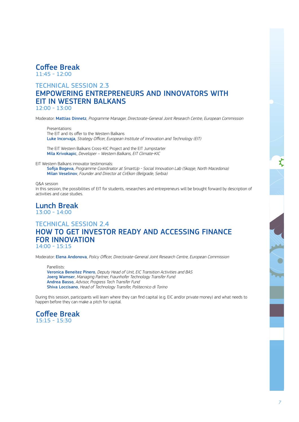

#### TECHNICAL SESSION 2.3

# EMPOWERING ENTREPRENEURS AND INNOVATORS WITH EIT IN WESTERN BALKANS

12:00 - 13:00

Moderator: Mattias Dinnetz, Programme Manager, Directorate-General Joint Research Centre, European Commission

Presentations: The EIT and its offer to the Western Balkans Luke Incorvaja, Strategy Officer, European Institute of Innovation and Technology (EIT)

The EIT Western Balkans Cross-KIC Project and the EIT Jumpstarter Mila Krivokapic, Developer – Western Balkans, EIT Climate-KIC

EIT Western Balkans innovator testimonials:

Sofija Bogeva, Programme Coordinator at SmartUp - Social Innovation Lab (Skopje, North Macedonia) Milan Veselinov, Founder and Director at CirEkon (Belgrade, Serbia)

Q&A session In this session, the possibilities of EIT for students, researchers and entrepreneurs will be brought forward by description of activities and case studies.

Lunch Break  $13:00 - 14:00$ 

#### TECHNICAL SESSION 2.4 HOW TO GET INVESTOR READY AND ACCESSING FINANCE FOR INNOVATION 14:00 - 15:15

Moderator: Elena Andonova, Policy Officer, Directorate-General Joint Research Centre, European Commission

Panellists: Veronica Beneitez Pinero, Deputy Head of Unit, EIC Transition Activities and BAS Joerg Wamser, Managing Partner, Fraunhofer Technology Transfer Fund Andrea Basso, Advisor, Progress Tech Transfer Fund Shiva Loccisano, Head of Technology Transfer, Politecnico di Torino

During this session, participants will learn where they can find capital (e.g. EIC and/or private money) and what needs to happen before they can make a pitch for capital.

Coffee Break  $15:15 - 15:30$ 

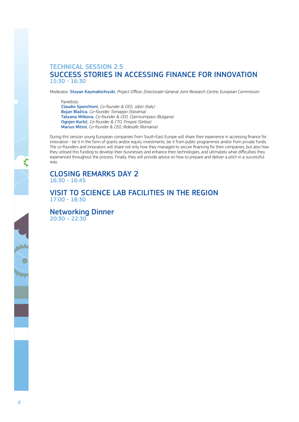#### TECHNICAL SESSION 2.5 SUCCESS STORIES IN ACCESSING FINANCE FOR INNOVATION 15:30 - 16:30

Moderator: Stoyan Kaymaktchiyski, Project Officer, Directorate-General Joint Research Centre, European Commission

Panellists:

Claudio Sponchioni, Co-founder & CEO, Jobiri (Italy) Bojan Blažica, Co-founder, Tomappo (Slovenia) Tatyana Mitkova, Co-founder & CEO, Claimcompass (Bulgaria) Ognjen Kurtić, Co-founder & CTO, Finspot (Serbia) Marius Mitroi, Co-founder & CEO, Ridesafe (Romania)

During this session young European companies from South-East Europe will share their experience in accessing finance for innovation - be it in the form of grants and/or equity investments, be it from public programmes and/or from private funds. The co-founders and innovators will share not only how they managed to secure financing for their companies, but also how they utilised this funding to develop their businesses and enhance their technologies, and ultimately what difficulties they experienced throughout the process. Finally, they will provide advice on how to prepare and deliver a pitch in a successful way.



## VISIT TO SCIENCE LAB FACILITIES IN THE REGION 17:00 - 18:30

Networking Dinner 20:30 – 22:30

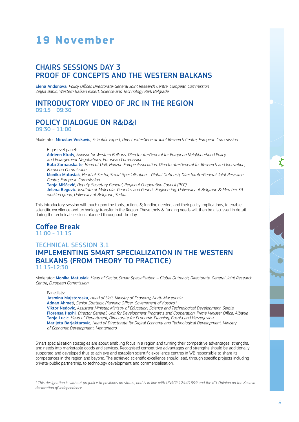# **19 November**

## CHAIRS SESSIONS DAY 3 PROOF OF CONCEPTS AND THE WESTERN BALKANS

Elena Andonova, Policy Officer, Directorate-General Joint Research Centre, European Commission Zeljka Babic, Western Balkan expert, Science and Technology Park Belgrade

#### INTRODUCTORY VIDEO OF JRC IN THE REGION 09:15 - 09:30

#### POLICY DIALOGUE ON R&D&I 09:30 - 11:00

Moderator: Miroslav Veskovic, Scientific expert, Directorate-General Joint Research Centre, European Commission

High-level panel: Adrienn Kiraly, Advisor for Western Balkans, Directorate-General for European Neighbourhood Policy and Enlargement Negotiations, European Commission Ruta Zarnauskaite, Head of Unit, Horizon Europe Association, Directorate-General for Research and Innovation, European Commission Monika Matusiak, Head of Sector, Smart Specialisation – Global Outreach, Directorate-General Joint Research Centre, European Commission Tanja Miščević, Deputy Secretary General, Regional Cooperation Council (RCC) Jelena Begovic, Institute of Molecular Genetics and Genetic Engineering, University of Belgrade & Member S3 working group, University of Belgrade, Serbia

This introductory session will touch upon the tools, actions & funding needed, and their policy implications, to enable scientific excellence and technology transfer in the Region. These tools & funding needs will then be discussed in detail during the technical sessions planned throughout the day.

#### Coffee Break  $11:00 - 11:15$

## TECHNICAL SESSION 3.1 IMPLEMENTING SMART SPECIALIZATION IN THE WESTERN BALKANS (FROM THEORY TO PRACTICE) 11:15-12:30

Moderator: Monika Matusiak, Head of Sector, Smart Specialisation - Global Outreach, Directorate-General Joint Research Centre, European Commission

Panellists:

Jasmina Majstoroska, Head of Unit, Ministry of Economy, North Macedonia Adnan Ahmeti, Senior Strategic Planning Officer, Government of Kosovo *\**Viktor Nedovic, Assistant Minister, Ministry of Education, Science and Technological Development, Serbia Florensa Haxhi, Director General, Unit for Development Programs and Cooperation, Prime Minister Office, Albania Tanja Lucic, Head of Department, Directorate for Economic Planning, Bosnia and Herzegovina Marijeta Barjaktarovic, Head of Directorate for Digital Economy and Technological Development, Ministry of Economic Development, Montenegro

Smart specialisation strategies are about enabling focus in a region and turning their competitive advantages, strengths, and needs into marketable goods and services. Recognised competitive advantages and strengths should be additionally supported and developed thus to achieve and establish scientific excellence centres in WB responsible to share its competences in the region and beyond. The achieved scientific excellence should lead, through specific projects including private-public partnership, to technology development and commercialisation.

*\* This designation is without prejudice to positions on status, and is in line with UNSCR 1244/1999 and the ICJ Opinion on the Kosovo declaration of independence*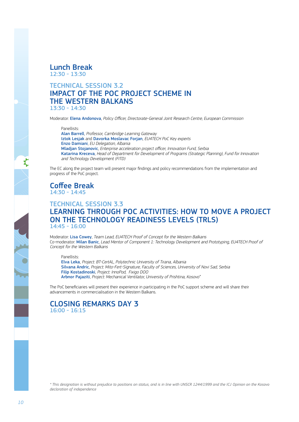Lunch Break  $12:30 - 13:30$ 

#### TECHNICAL SESSION 3.2 IMPACT OF THE POC PROJECT SCHEME IN THE WESTERN BALKANS 13:30 - 14:30

Moderator: Elena Andonova, Policy Officer, Directorate-General Joint Research Centre, European Commission

Panellists:

Alan Barrell, Professor, Cambridge Learning Gateway Iztok Lesjak and Davorka Moslavac Forjan, EU4TECH PoC Key experts Enzo Damiani, EU Delegation, Albania Mladjan Stojanovic, Enterprise acceleration project officer, Innovation Fund, Serbia Katarina Kreceva, Head of Department for Development of Programs (Strategic Planning), Fund for Innovation and Technology Development (FITD)

The EC along the project team will present major findings and policy recommendations from the implementation and progress of the PoC project.

Coffee Break 14:30 - 14:45

### TECHNICAL SESSION 3.3 LEARNING THROUGH POC ACTIVITIES: HOW TO MOVE A PROJECT ON THE TECHNOLOGY READINESS LEVELS (TRLS) 14:45 - 16:00

Moderator: Lisa Cowey, Team Lead, EU4TECH Proof of Concept for the Western Balkans Co-moderator: Milan Banic, Lead Mentor of Component 1: Technology Development and Prototyping, EU4TECH Proof of Concept for the Western Balkans

Panellists:

Elva Leka, Project: BT-CertAL, Polytechnic University of Tirana, Albania Silvana Andric, Project: Mito-Fert-Signature, Faculty of Sciences, University of Novi Sad, Serbia Filip Kostadinoski, Project: InnoPod, Fixigo DOO Arbnor Pajaziti, Project: Mechanical Ventilator, University of Prishtina, Kosovo *\**

The PoC beneficiaries will present their experience in participating in the PoC support scheme and will share their advancements in commercialisation in the Western Balkans.

#### CLOSING REMARKS DAY 3 16:00 - 16:15

*\* This designation is without prejudice to positions on status, and is in line with UNSCR 1244/1999 and the ICJ Opinion on the Kosovo declaration of independence*